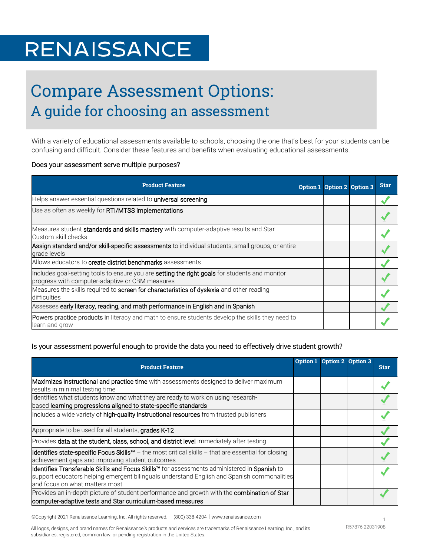# **RENAISSANCE**

## Compare Assessment Options: A guide for choosing an assessment

With a variety of educational assessments available to schools, choosing the one that's best for your students can be confusing and difficult. Consider these features and benefits when evaluating educational assessments.

#### Does your assessment serve multiple purposes?

| <b>Product Feature</b>                                                                                                                                   | Option 1 Option 2 Option 3 | <b>Star</b> |
|----------------------------------------------------------------------------------------------------------------------------------------------------------|----------------------------|-------------|
| Helps answer essential questions related to universal screening                                                                                          |                            |             |
| Use as often as weekly for RTI/MTSS implementations                                                                                                      |                            |             |
| Measures student standards and skills mastery with computer-adaptive results and Star<br>Custom skill checks                                             |                            |             |
| Assign standard and/or skill-specific assessments to individual students, small groups, or entire<br>grade levels                                        |                            |             |
| Allows educators to <b>create district benchmarks</b> assessments                                                                                        |                            |             |
| Includes goal-setting tools to ensure you are <b>setting the right goals</b> for students and monitor<br>progress with computer-adaptive or CBM measures |                            |             |
| Measures the skills required to screen for characteristics of dyslexia and other reading<br>difficulties                                                 |                            |             |
| Assesses early literacy, reading, and math performance in English and in Spanish                                                                         |                            |             |
| <b>Powers practice products in literacy and math to ensure students develop the skills they need to</b><br>learn and grow                                |                            |             |

#### Is your assessment powerful enough to provide the data you need to effectively drive student growth?

| <b>Product Feature</b>                                                                                                                                                                                                      | Option 1 Option 2 Option 3 | <b>Star</b> |
|-----------------------------------------------------------------------------------------------------------------------------------------------------------------------------------------------------------------------------|----------------------------|-------------|
| Maximizes instructional and practice time with assessments designed to deliver maximum<br>results in minimal testing time                                                                                                   |                            |             |
| Identifies what students know and what they are ready to work on using research-<br>based learning progressions aligned to state-specific standards                                                                         |                            |             |
| Includes a wide variety of high-quality instructional resources from trusted publishers                                                                                                                                     |                            |             |
| Appropriate to be used for all students, grades K-12                                                                                                                                                                        |                            |             |
| Provides data at the student, class, school, and district level immediately after testing                                                                                                                                   |                            |             |
| Identifies state-specific Focus Skills™ - the most critical skills - that are essential for closing<br>achievement gaps and improving student outcomes                                                                      |                            |             |
| Identifies Transferable Skills and Focus Skills™ for assessments administered in Spanish to<br>support educators helping emergent bilinguals understand English and Spanish commonalities<br>and focus on what matters most |                            |             |
| Provides an in-depth picture of student performance and growth with the combination of Star<br>computer-adaptive tests and Star curriculum-based measures                                                                   |                            |             |

©Copyright 2021 Renaissance Learning, Inc. All rights reserved. | (800) 338-4204 | www.renaissance.com 1